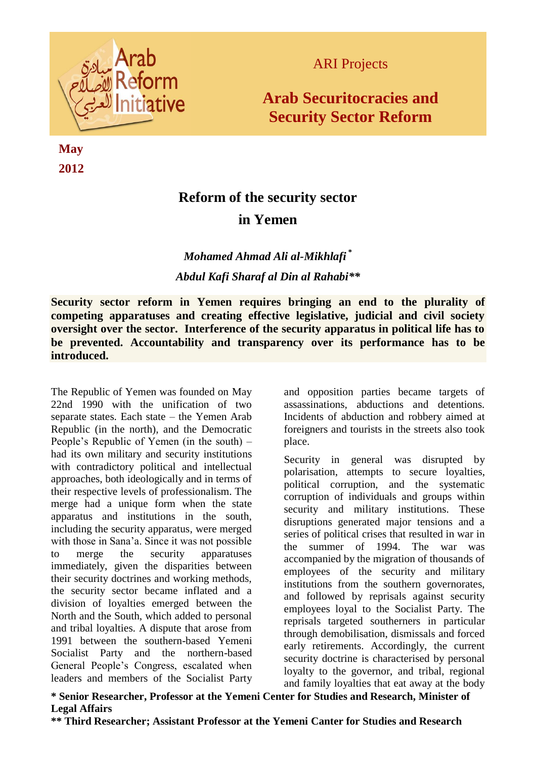

**May 2012**

## ARI Projects

# **Arab Securitocracies and Security Sector Reform**

# **Reform of the security sector in Yemen**

## *Mohamed Ahmad Ali al-Mikhlafi* **\*** *Abdul Kafi Sharaf al Din al Rahabi\*\**

**Security sector reform in Yemen requires bringing an end to the plurality of competing apparatuses and creating effective legislative, judicial and civil society oversight over the sector. Interference of the security apparatus in political life has to be prevented. Accountability and transparency over its performance has to be introduced.**

The Republic of Yemen was founded on May 22nd 1990 with the unification of two separate states. Each state – the Yemen Arab Republic (in the north), and the Democratic People's Republic of Yemen (in the south) – had its own military and security institutions with contradictory political and intellectual approaches, both ideologically and in terms of their respective levels of professionalism. The merge had a unique form when the state apparatus and institutions in the south, including the security apparatus, were merged with those in Sana'a. Since it was not possible to merge the security apparatuses immediately, given the disparities between their security doctrines and working methods, the security sector became inflated and a division of loyalties emerged between the North and the South, which added to personal and tribal loyalties. A dispute that arose from 1991 between the southern-based Yemeni Socialist Party and the northern-based General People's Congress, escalated when leaders and members of the Socialist Party

and opposition parties became targets of assassinations, abductions and detentions. Incidents of abduction and robbery aimed at foreigners and tourists in the streets also took place.

Security in general was disrupted by polarisation, attempts to secure loyalties, political corruption, and the systematic corruption of individuals and groups within security and military institutions. These disruptions generated major tensions and a series of political crises that resulted in war in the summer of 1994. The war was accompanied by the migration of thousands of employees of the security and military institutions from the southern governorates, and followed by reprisals against security employees loyal to the Socialist Party. The reprisals targeted southerners in particular through demobilisation, dismissals and forced early retirements. Accordingly, the current security doctrine is characterised by personal loyalty to the governor, and tribal, regional and family loyalties that eat away at the body

**\* Senior Researcher, Professor at the Yemeni Center for Studies and Research, Minister of Legal Affairs**

**\*\* Third Researcher; Assistant Professor at the Yemeni Canter for Studies and Research**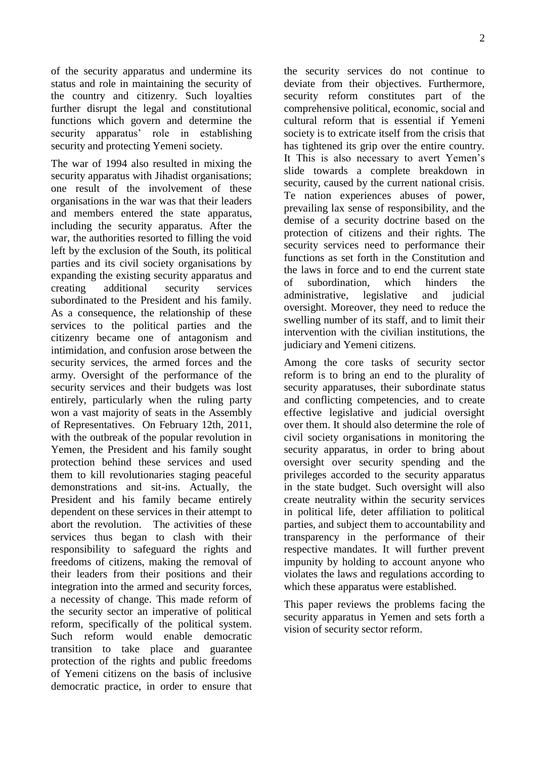of the security apparatus and undermine its status and role in maintaining the security of the country and citizenry. Such loyalties further disrupt the legal and constitutional functions which govern and determine the security apparatus' role in establishing security and protecting Yemeni society.

The war of 1994 also resulted in mixing the security apparatus with Jihadist organisations; one result of the involvement of these organisations in the war was that their leaders and members entered the state apparatus, including the security apparatus. After the war, the authorities resorted to filling the void left by the exclusion of the South, its political parties and its civil society organisations by expanding the existing security apparatus and creating additional security services subordinated to the President and his family. As a consequence, the relationship of these services to the political parties and the citizenry became one of antagonism and intimidation, and confusion arose between the security services, the armed forces and the army. Oversight of the performance of the security services and their budgets was lost entirely, particularly when the ruling party won a vast majority of seats in the Assembly of Representatives. On February 12th, 2011, with the outbreak of the popular revolution in Yemen, the President and his family sought protection behind these services and used them to kill revolutionaries staging peaceful demonstrations and sit-ins. Actually, the President and his family became entirely dependent on these services in their attempt to abort the revolution. The activities of these services thus began to clash with their responsibility to safeguard the rights and freedoms of citizens, making the removal of their leaders from their positions and their integration into the armed and security forces, a necessity of change. This made reform of the security sector an imperative of political reform, specifically of the political system. Such reform would enable democratic transition to take place and guarantee protection of the rights and public freedoms of Yemeni citizens on the basis of inclusive democratic practice, in order to ensure that

the security services do not continue to deviate from their objectives. Furthermore, security reform constitutes part of the comprehensive political, economic, social and cultural reform that is essential if Yemeni society is to extricate itself from the crisis that has tightened its grip over the entire country. It This is also necessary to avert Yemen's slide towards a complete breakdown in security, caused by the current national crisis. Te nation experiences abuses of power, prevailing lax sense of responsibility, and the demise of a security doctrine based on the protection of citizens and their rights. The security services need to performance their functions as set forth in the Constitution and the laws in force and to end the current state of subordination, which hinders the administrative, legislative and judicial oversight. Moreover, they need to reduce the swelling number of its staff, and to limit their intervention with the civilian institutions, the judiciary and Yemeni citizens.

Among the core tasks of security sector reform is to bring an end to the plurality of security apparatuses, their subordinate status and conflicting competencies, and to create effective legislative and judicial oversight over them. It should also determine the role of civil society organisations in monitoring the security apparatus, in order to bring about oversight over security spending and the privileges accorded to the security apparatus in the state budget. Such oversight will also create neutrality within the security services in political life, deter affiliation to political parties, and subject them to accountability and transparency in the performance of their respective mandates. It will further prevent impunity by holding to account anyone who violates the laws and regulations according to which these apparatus were established.

This paper reviews the problems facing the security apparatus in Yemen and sets forth a vision of security sector reform.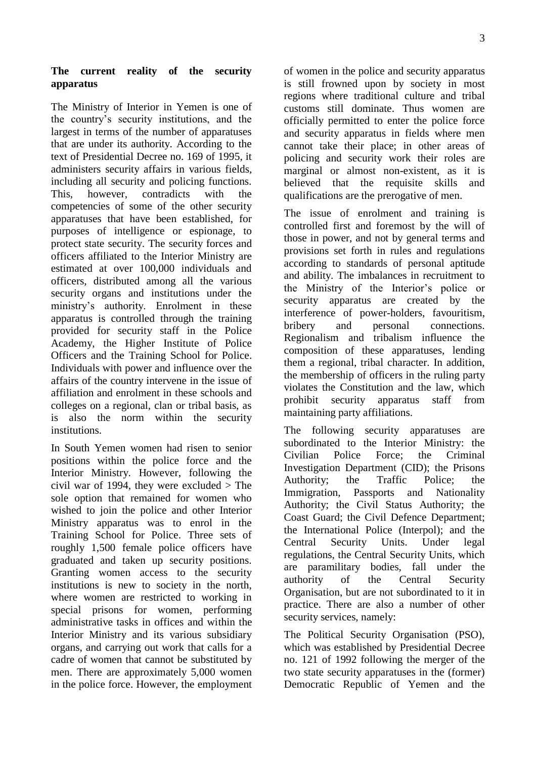## **The current reality of the security apparatus**

The Ministry of Interior in Yemen is one of the country's security institutions, and the largest in terms of the number of apparatuses that are under its authority. According to the text of Presidential Decree no. 169 of 1995, it administers security affairs in various fields, including all security and policing functions. This, however, contradicts with the competencies of some of the other security apparatuses that have been established, for purposes of intelligence or espionage, to protect state security. The security forces and officers affiliated to the Interior Ministry are estimated at over 100,000 individuals and officers, distributed among all the various security organs and institutions under the ministry's authority. Enrolment in these apparatus is controlled through the training provided for security staff in the Police Academy, the Higher Institute of Police Officers and the Training School for Police. Individuals with power and influence over the affairs of the country intervene in the issue of affiliation and enrolment in these schools and colleges on a regional, clan or tribal basis, as is also the norm within the security institutions.

In South Yemen women had risen to senior positions within the police force and the Interior Ministry. However, following the civil war of 1994, they were excluded  $>$  The sole option that remained for women who wished to join the police and other Interior Ministry apparatus was to enrol in the Training School for Police. Three sets of roughly 1,500 female police officers have graduated and taken up security positions. Granting women access to the security institutions is new to society in the north, where women are restricted to working in special prisons for women, performing administrative tasks in offices and within the Interior Ministry and its various subsidiary organs, and carrying out work that calls for a cadre of women that cannot be substituted by men. There are approximately 5,000 women in the police force. However, the employment of women in the police and security apparatus is still frowned upon by society in most regions where traditional culture and tribal customs still dominate. Thus women are officially permitted to enter the police force and security apparatus in fields where men cannot take their place; in other areas of policing and security work their roles are marginal or almost non-existent, as it is believed that the requisite skills and qualifications are the prerogative of men.

The issue of enrolment and training is controlled first and foremost by the will of those in power, and not by general terms and provisions set forth in rules and regulations according to standards of personal aptitude and ability. The imbalances in recruitment to the Ministry of the Interior's police or security apparatus are created by the interference of power-holders, favouritism, bribery and personal connections. Regionalism and tribalism influence the composition of these apparatuses, lending them a regional, tribal character. In addition, the membership of officers in the ruling party violates the Constitution and the law, which prohibit security apparatus staff from maintaining party affiliations.

The following security apparatuses are subordinated to the Interior Ministry: the Civilian Police Force; the Criminal Investigation Department (CID); the Prisons Authority; the Traffic Police; the Immigration, Passports and Nationality Authority; the Civil Status Authority; the Coast Guard; the Civil Defence Department; the International Police (Interpol); and the Central Security Units. Under legal regulations, the Central Security Units, which are paramilitary bodies, fall under the authority of the Central Security Organisation, but are not subordinated to it in practice. There are also a number of other security services, namely:

The Political Security Organisation (PSO), which was established by Presidential Decree no. 121 of 1992 following the merger of the two state security apparatuses in the (former) Democratic Republic of Yemen and the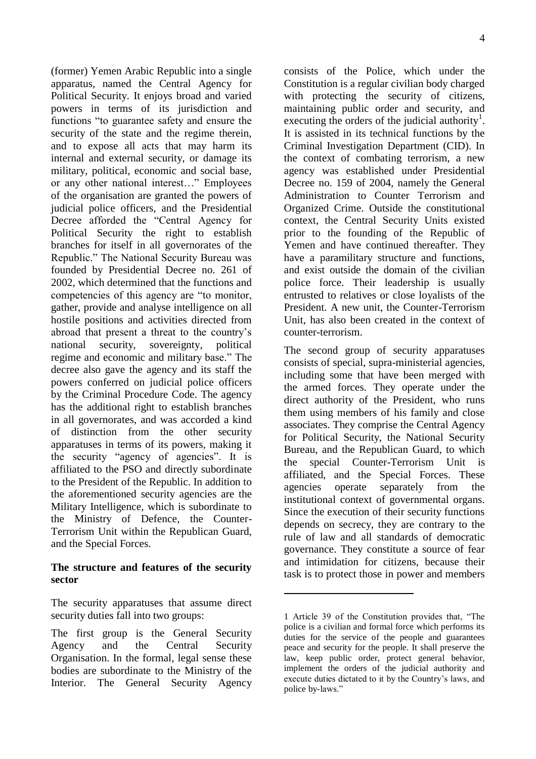(former) Yemen Arabic Republic into a single apparatus, named the Central Agency for Political Security. It enjoys broad and varied powers in terms of its jurisdiction and functions "to guarantee safety and ensure the security of the state and the regime therein, and to expose all acts that may harm its internal and external security, or damage its military, political, economic and social base, or any other national interest…" Employees of the organisation are granted the powers of judicial police officers, and the Presidential Decree afforded the "Central Agency for Political Security the right to establish branches for itself in all governorates of the Republic." The National Security Bureau was founded by Presidential Decree no. 261 of 2002, which determined that the functions and competencies of this agency are "to monitor, gather, provide and analyse intelligence on all hostile positions and activities directed from abroad that present a threat to the country's national security, sovereignty, political regime and economic and military base." The decree also gave the agency and its staff the powers conferred on judicial police officers by the Criminal Procedure Code. The agency has the additional right to establish branches in all governorates, and was accorded a kind of distinction from the other security apparatuses in terms of its powers, making it the security "agency of agencies". It is affiliated to the PSO and directly subordinate to the President of the Republic. In addition to the aforementioned security agencies are the Military Intelligence, which is subordinate to the Ministry of Defence, the Counter-Terrorism Unit within the Republican Guard, and the Special Forces.

#### **The structure and features of the security sector**

The security apparatuses that assume direct security duties fall into two groups:

consists of the Police, which under the Constitution is a regular civilian body charged with protecting the security of citizens, maintaining public order and security, and executing the orders of the judicial authority<sup>1</sup>. It is assisted in its technical functions by the Criminal Investigation Department (CID). In the context of combating terrorism, a new agency was established under Presidential Decree no. 159 of 2004, namely the General Administration to Counter Terrorism and Organized Crime. Outside the constitutional context, the Central Security Units existed prior to the founding of the Republic of Yemen and have continued thereafter. They have a paramilitary structure and functions, and exist outside the domain of the civilian police force. Their leadership is usually entrusted to relatives or close loyalists of the President. A new unit, the Counter-Terrorism Unit, has also been created in the context of counter-terrorism.

The second group of security apparatuses consists of special, supra-ministerial agencies, including some that have been merged with the armed forces. They operate under the direct authority of the President, who runs them using members of his family and close associates. They comprise the Central Agency for Political Security, the National Security Bureau, and the Republican Guard, to which the special Counter-Terrorism Unit is affiliated, and the Special Forces. These agencies operate separately from the institutional context of governmental organs. Since the execution of their security functions depends on secrecy, they are contrary to the rule of law and all standards of democratic governance. They constitute a source of fear and intimidation for citizens, because their task is to protect those in power and members

<u>.</u>

The first group is the General Security Agency and the Central Security Organisation. In the formal, legal sense these bodies are subordinate to the Ministry of the Interior. The General Security Agency

<sup>1</sup> Article 39 of the Constitution provides that, "The police is a civilian and formal force which performs its duties for the service of the people and guarantees peace and security for the people. It shall preserve the law, keep public order, protect general behavior, implement the orders of the judicial authority and execute duties dictated to it by the Country's laws, and police by-laws."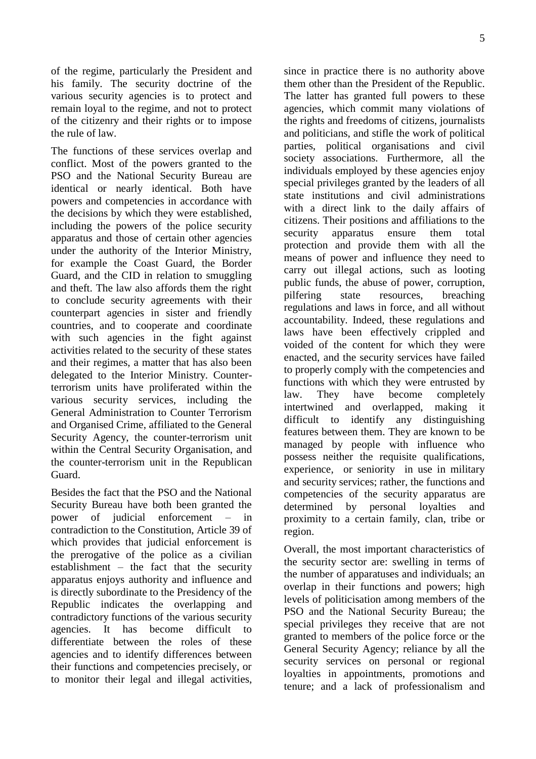of the regime, particularly the President and his family. The security doctrine of the various security agencies is to protect and remain loyal to the regime, and not to protect of the citizenry and their rights or to impose the rule of law.

The functions of these services overlap and conflict. Most of the powers granted to the PSO and the National Security Bureau are identical or nearly identical. Both have powers and competencies in accordance with the decisions by which they were established, including the powers of the police security apparatus and those of certain other agencies under the authority of the Interior Ministry, for example the Coast Guard, the Border Guard, and the CID in relation to smuggling and theft. The law also affords them the right to conclude security agreements with their counterpart agencies in sister and friendly countries, and to cooperate and coordinate with such agencies in the fight against activities related to the security of these states and their regimes, a matter that has also been delegated to the Interior Ministry. Counterterrorism units have proliferated within the various security services, including the General Administration to Counter Terrorism and Organised Crime, affiliated to the General Security Agency, the counter-terrorism unit within the Central Security Organisation, and the counter-terrorism unit in the Republican Guard.

Besides the fact that the PSO and the National Security Bureau have both been granted the power of judicial enforcement – in contradiction to the Constitution, Article 39 of which provides that judicial enforcement is the prerogative of the police as a civilian establishment – the fact that the security apparatus enjoys authority and influence and is directly subordinate to the Presidency of the Republic indicates the overlapping and contradictory functions of the various security agencies. It has become difficult to differentiate between the roles of these agencies and to identify differences between their functions and competencies precisely, or to monitor their legal and illegal activities,

since in practice there is no authority above them other than the President of the Republic. The latter has granted full powers to these agencies, which commit many violations of the rights and freedoms of citizens, journalists and politicians, and stifle the work of political parties, political organisations and civil society associations. Furthermore, all the individuals employed by these agencies enjoy special privileges granted by the leaders of all state institutions and civil administrations with a direct link to the daily affairs of citizens. Their positions and affiliations to the security apparatus ensure them total protection and provide them with all the means of power and influence they need to carry out illegal actions, such as looting public funds, the abuse of power, corruption, pilfering state resources, breaching regulations and laws in force, and all without accountability. Indeed, these regulations and laws have been effectively crippled and voided of the content for which they were enacted, and the security services have failed to properly comply with the competencies and functions with which they were entrusted by law. They have become completely intertwined and overlapped, making it difficult to identify any distinguishing features between them. They are known to be managed by people with influence who possess neither the requisite qualifications, experience, or seniority in use in military and security services; rather, the functions and competencies of the security apparatus are determined by personal loyalties and proximity to a certain family, clan, tribe or region.

Overall, the most important characteristics of the security sector are: swelling in terms of the number of apparatuses and individuals; an overlap in their functions and powers; high levels of politicisation among members of the PSO and the National Security Bureau; the special privileges they receive that are not granted to members of the police force or the General Security Agency; reliance by all the security services on personal or regional loyalties in appointments, promotions and tenure; and a lack of professionalism and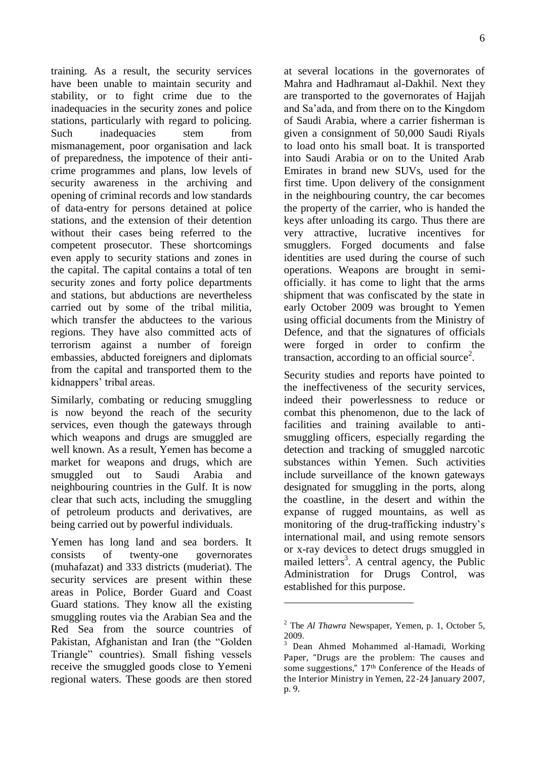training. As a result, the security services have been unable to maintain security and stability, or to fight crime due to the inadequacies in the security zones and police stations, particularly with regard to policing. Such inadequacies stem from mismanagement, poor organisation and lack of preparedness, the impotence of their anticrime programmes and plans, low levels of security awareness in the archiving and opening of criminal records and low standards of data-entry for persons detained at police stations, and the extension of their detention without their cases being referred to the competent prosecutor. These shortcomings even apply to security stations and zones in the capital. The capital contains a total of ten security zones and forty police departments and stations, but abductions are nevertheless carried out by some of the tribal militia, which transfer the abductees to the various regions. They have also committed acts of terrorism against a number of foreign embassies, abducted foreigners and diplomats from the capital and transported them to the kidnappers' tribal areas.

Similarly, combating or reducing smuggling is now beyond the reach of the security services, even though the gateways through which weapons and drugs are smuggled are well known. As a result, Yemen has become a market for weapons and drugs, which are smuggled out to Saudi Arabia and neighbouring countries in the Gulf. It is now clear that such acts, including the smuggling of petroleum products and derivatives, are being carried out by powerful individuals.

Yemen has long land and sea borders. It consists of twenty-one governorates (muhafazat) and 333 districts (muderiat). The security services are present within these areas in Police, Border Guard and Coast Guard stations. They know all the existing smuggling routes via the Arabian Sea and the Red Sea from the source countries of Pakistan, Afghanistan and Iran (the "Golden Triangle" countries). Small fishing vessels receive the smuggled goods close to Yemeni regional waters. These goods are then stored

at several locations in the governorates of Mahra and Hadhramaut al-Dakhil. Next they are transported to the governorates of Hajjah and Sa'ada, and from there on to the Kingdom of Saudi Arabia, where a carrier fisherman is given a consignment of 50,000 Saudi Riyals to load onto his small boat. It is transported into Saudi Arabia or on to the United Arab Emirates in brand new SUVs, used for the first time. Upon delivery of the consignment in the neighbouring country, the car becomes the property of the carrier, who is handed the keys after unloading its cargo. Thus there are very attractive, lucrative incentives for smugglers. Forged documents and false identities are used during the course of such operations. Weapons are brought in semiofficially. it has come to light that the arms shipment that was confiscated by the state in early October 2009 was brought to Yemen using official documents from the Ministry of Defence, and that the signatures of officials were forged in order to confirm the transaction, according to an official source<sup>2</sup>.

Security studies and reports have pointed to the ineffectiveness of the security services, indeed their powerlessness to reduce or combat this phenomenon, due to the lack of facilities and training available to antismuggling officers, especially regarding the detection and tracking of smuggled narcotic substances within Yemen. Such activities include surveillance of the known gateways designated for smuggling in the ports, along the coastline, in the desert and within the expanse of rugged mountains, as well as monitoring of the drug-trafficking industry's international mail, and using remote sensors or x-ray devices to detect drugs smuggled in mailed letters<sup>3</sup>. A central agency, the Public Administration for Drugs Control, was established for this purpose.

<u>.</u>

<sup>2</sup> The *Al Thawra* Newspaper, Yemen, p. 1, October 5, 2009.

<sup>3</sup> Dean Ahmed Mohammed al-Hamadi, Working Paper, "Drugs are the problem: The causes and some suggestions," 17<sup>th</sup> Conference of the Heads of the Interior Ministry in Yemen, 22-24 January 2007, p. 9.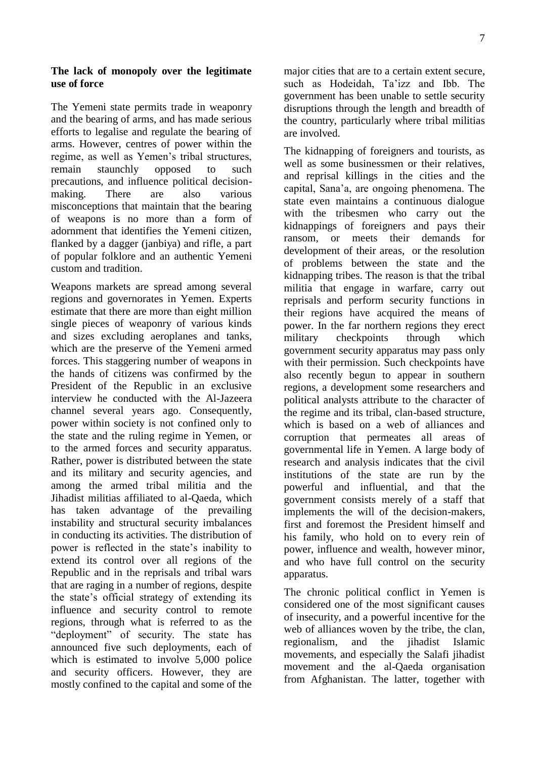#### **The lack of monopoly over the legitimate use of force**

The Yemeni state permits trade in weaponry and the bearing of arms, and has made serious efforts to legalise and regulate the bearing of arms. However, centres of power within the regime, as well as Yemen's tribal structures, remain staunchly opposed to such precautions, and influence political decisionmaking. There are also various misconceptions that maintain that the bearing of weapons is no more than a form of adornment that identifies the Yemeni citizen, flanked by a dagger (janbiya) and rifle, a part of popular folklore and an authentic Yemeni custom and tradition.

Weapons markets are spread among several regions and governorates in Yemen. Experts estimate that there are more than eight million single pieces of weaponry of various kinds and sizes excluding aeroplanes and tanks, which are the preserve of the Yemeni armed forces. This staggering number of weapons in the hands of citizens was confirmed by the President of the Republic in an exclusive interview he conducted with the Al-Jazeera channel several years ago. Consequently, power within society is not confined only to the state and the ruling regime in Yemen, or to the armed forces and security apparatus. Rather, power is distributed between the state and its military and security agencies, and among the armed tribal militia and the Jihadist militias affiliated to al-Qaeda, which has taken advantage of the prevailing instability and structural security imbalances in conducting its activities. The distribution of power is reflected in the state's inability to extend its control over all regions of the Republic and in the reprisals and tribal wars that are raging in a number of regions, despite the state's official strategy of extending its influence and security control to remote regions, through what is referred to as the "deployment" of security. The state has announced five such deployments, each of which is estimated to involve 5,000 police and security officers. However, they are mostly confined to the capital and some of the

major cities that are to a certain extent secure, such as Hodeidah, Ta'izz and Ibb. The government has been unable to settle security disruptions through the length and breadth of the country, particularly where tribal militias are involved.

The kidnapping of foreigners and tourists, as well as some businessmen or their relatives, and reprisal killings in the cities and the capital, Sana'a, are ongoing phenomena. The state even maintains a continuous dialogue with the tribesmen who carry out the kidnappings of foreigners and pays their ransom, or meets their demands for development of their areas, or the resolution of problems between the state and the kidnapping tribes. The reason is that the tribal militia that engage in warfare, carry out reprisals and perform security functions in their regions have acquired the means of power. In the far northern regions they erect military checkpoints through which government security apparatus may pass only with their permission. Such checkpoints have also recently begun to appear in southern regions, a development some researchers and political analysts attribute to the character of the regime and its tribal, clan-based structure, which is based on a web of alliances and corruption that permeates all areas of governmental life in Yemen. A large body of research and analysis indicates that the civil institutions of the state are run by the powerful and influential, and that the government consists merely of a staff that implements the will of the decision-makers, first and foremost the President himself and his family, who hold on to every rein of power, influence and wealth, however minor, and who have full control on the security apparatus.

The chronic political conflict in Yemen is considered one of the most significant causes of insecurity, and a powerful incentive for the web of alliances woven by the tribe, the clan, regionalism, and the jihadist Islamic movements, and especially the Salafi jihadist movement and the al-Qaeda organisation from Afghanistan. The latter, together with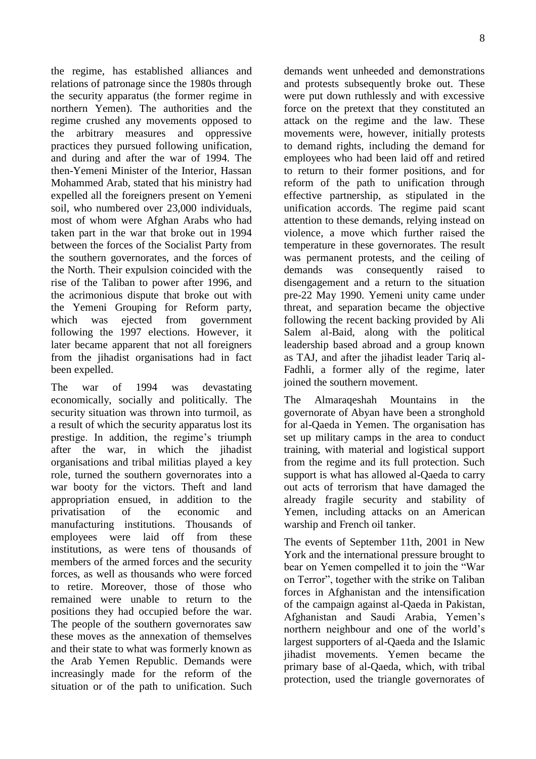the regime, has established alliances and relations of patronage since the 1980s through the security apparatus (the former regime in northern Yemen). The authorities and the regime crushed any movements opposed to the arbitrary measures and oppressive practices they pursued following unification, and during and after the war of 1994. The then-Yemeni Minister of the Interior, Hassan Mohammed Arab, stated that his ministry had expelled all the foreigners present on Yemeni soil, who numbered over 23,000 individuals, most of whom were Afghan Arabs who had taken part in the war that broke out in 1994 between the forces of the Socialist Party from the southern governorates, and the forces of the North. Their expulsion coincided with the rise of the Taliban to power after 1996, and the acrimonious dispute that broke out with the Yemeni Grouping for Reform party, which was ejected from government following the 1997 elections. However, it later became apparent that not all foreigners from the jihadist organisations had in fact been expelled.

The war of 1994 was devastating economically, socially and politically. The security situation was thrown into turmoil, as a result of which the security apparatus lost its prestige. In addition, the regime's triumph after the war, in which the jihadist organisations and tribal militias played a key role, turned the southern governorates into a war booty for the victors. Theft and land appropriation ensued, in addition to the privatisation of the economic and manufacturing institutions. Thousands of employees were laid off from these institutions, as were tens of thousands of members of the armed forces and the security forces, as well as thousands who were forced to retire. Moreover, those of those who remained were unable to return to the positions they had occupied before the war. The people of the southern governorates saw these moves as the annexation of themselves and their state to what was formerly known as the Arab Yemen Republic. Demands were increasingly made for the reform of the situation or of the path to unification. Such

demands went unheeded and demonstrations and protests subsequently broke out. These were put down ruthlessly and with excessive force on the pretext that they constituted an attack on the regime and the law. These movements were, however, initially protests to demand rights, including the demand for employees who had been laid off and retired to return to their former positions, and for reform of the path to unification through effective partnership, as stipulated in the unification accords. The regime paid scant attention to these demands, relying instead on violence, a move which further raised the temperature in these governorates. The result was permanent protests, and the ceiling of demands was consequently raised to disengagement and a return to the situation pre-22 May 1990. Yemeni unity came under threat, and separation became the objective following the recent backing provided by Ali Salem al-Baid, along with the political leadership based abroad and a group known as TAJ, and after the jihadist leader Tariq al-Fadhli, a former ally of the regime, later joined the southern movement.

The Almaraqeshah Mountains in the governorate of Abyan have been a stronghold for al-Qaeda in Yemen. The organisation has set up military camps in the area to conduct training, with material and logistical support from the regime and its full protection. Such support is what has allowed al-Qaeda to carry out acts of terrorism that have damaged the already fragile security and stability of Yemen, including attacks on an American warship and French oil tanker.

The events of September 11th, 2001 in New York and the international pressure brought to bear on Yemen compelled it to join the "War on Terror", together with the strike on Taliban forces in Afghanistan and the intensification of the campaign against al-Qaeda in Pakistan, Afghanistan and Saudi Arabia, Yemen's northern neighbour and one of the world's largest supporters of al-Qaeda and the Islamic jihadist movements. Yemen became the primary base of al-Qaeda, which, with tribal protection, used the triangle governorates of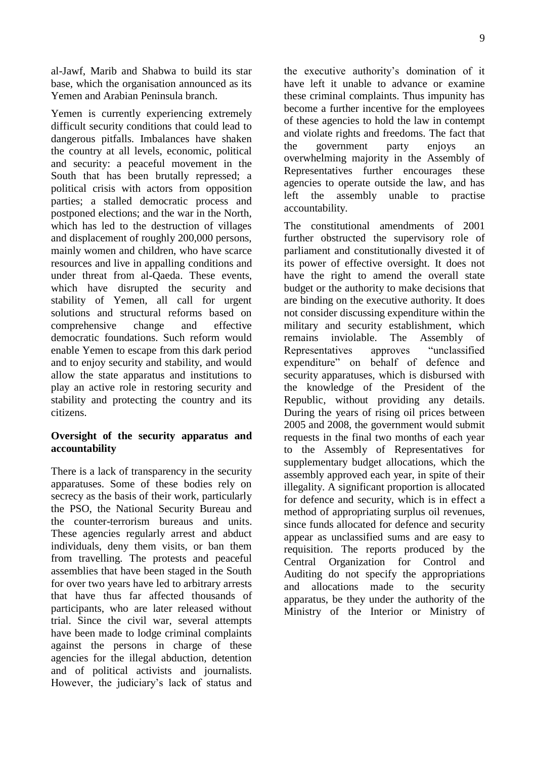al-Jawf, Marib and Shabwa to build its star base, which the organisation announced as its Yemen and Arabian Peninsula branch.

Yemen is currently experiencing extremely difficult security conditions that could lead to dangerous pitfalls. Imbalances have shaken the country at all levels, economic, political and security: a peaceful movement in the South that has been brutally repressed; a political crisis with actors from opposition parties; a stalled democratic process and postponed elections; and the war in the North, which has led to the destruction of villages and displacement of roughly 200,000 persons, mainly women and children, who have scarce resources and live in appalling conditions and under threat from al-Qaeda. These events, which have disrupted the security and stability of Yemen, all call for urgent solutions and structural reforms based on comprehensive change and effective democratic foundations. Such reform would enable Yemen to escape from this dark period and to enjoy security and stability, and would allow the state apparatus and institutions to play an active role in restoring security and stability and protecting the country and its citizens.

## **Oversight of the security apparatus and accountability**

There is a lack of transparency in the security apparatuses. Some of these bodies rely on secrecy as the basis of their work, particularly the PSO, the National Security Bureau and the counter-terrorism bureaus and units. These agencies regularly arrest and abduct individuals, deny them visits, or ban them from travelling. The protests and peaceful assemblies that have been staged in the South for over two years have led to arbitrary arrests that have thus far affected thousands of participants, who are later released without trial. Since the civil war, several attempts have been made to lodge criminal complaints against the persons in charge of these agencies for the illegal abduction, detention and of political activists and journalists. However, the judiciary's lack of status and

the executive authority's domination of it have left it unable to advance or examine these criminal complaints. Thus impunity has become a further incentive for the employees of these agencies to hold the law in contempt and violate rights and freedoms. The fact that the government party enjoys an overwhelming majority in the Assembly of Representatives further encourages these agencies to operate outside the law, and has left the assembly unable to practise accountability.

The constitutional amendments of 2001 further obstructed the supervisory role of parliament and constitutionally divested it of its power of effective oversight. It does not have the right to amend the overall state budget or the authority to make decisions that are binding on the executive authority. It does not consider discussing expenditure within the military and security establishment, which remains inviolable. The Assembly of Representatives approves "unclassified expenditure" on behalf of defence and security apparatuses, which is disbursed with the knowledge of the President of the Republic, without providing any details. During the years of rising oil prices between 2005 and 2008, the government would submit requests in the final two months of each year to the Assembly of Representatives for supplementary budget allocations, which the assembly approved each year, in spite of their illegality. A significant proportion is allocated for defence and security, which is in effect a method of appropriating surplus oil revenues, since funds allocated for defence and security appear as unclassified sums and are easy to requisition. The reports produced by the Central Organization for Control and Auditing do not specify the appropriations and allocations made to the security apparatus, be they under the authority of the Ministry of the Interior or Ministry of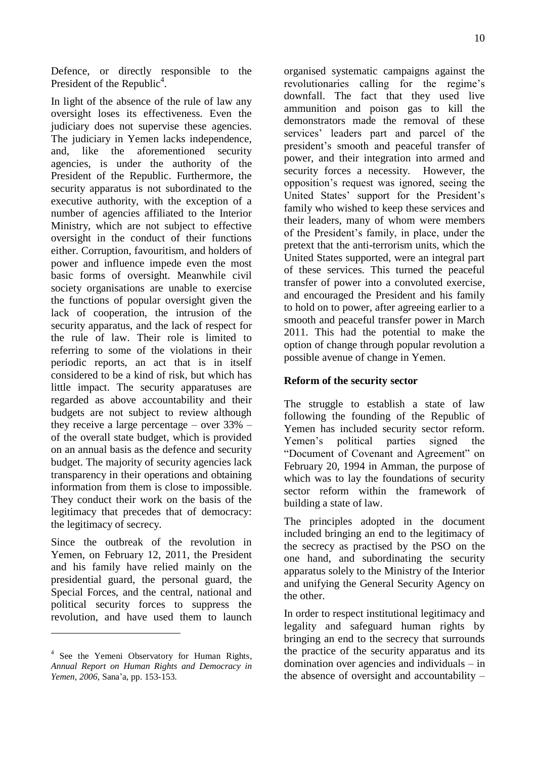Defence, or directly responsible to the President of the Republic<sup>4</sup>.

In light of the absence of the rule of law any oversight loses its effectiveness. Even the judiciary does not supervise these agencies. The judiciary in Yemen lacks independence, and, like the aforementioned security agencies, is under the authority of the President of the Republic. Furthermore, the security apparatus is not subordinated to the executive authority, with the exception of a number of agencies affiliated to the Interior Ministry, which are not subject to effective oversight in the conduct of their functions either. Corruption, favouritism, and holders of power and influence impede even the most basic forms of oversight. Meanwhile civil society organisations are unable to exercise the functions of popular oversight given the lack of cooperation, the intrusion of the security apparatus, and the lack of respect for the rule of law. Their role is limited to referring to some of the violations in their periodic reports, an act that is in itself considered to be a kind of risk, but which has little impact. The security apparatuses are regarded as above accountability and their budgets are not subject to review although they receive a large percentage – over 33% – of the overall state budget, which is provided on an annual basis as the defence and security budget. The majority of security agencies lack transparency in their operations and obtaining information from them is close to impossible. They conduct their work on the basis of the legitimacy that precedes that of democracy: the legitimacy of secrecy.

Since the outbreak of the revolution in Yemen, on February 12, 2011, the President and his family have relied mainly on the presidential guard, the personal guard, the Special Forces, and the central, national and political security forces to suppress the revolution, and have used them to launch

 $\overline{a}$ 

organised systematic campaigns against the revolutionaries calling for the regime's downfall. The fact that they used live ammunition and poison gas to kill the demonstrators made the removal of these services' leaders part and parcel of the president's smooth and peaceful transfer of power, and their integration into armed and security forces a necessity. However, the opposition's request was ignored, seeing the United States' support for the President's family who wished to keep these services and their leaders, many of whom were members of the President's family, in place, under the pretext that the anti-terrorism units, which the United States supported, were an integral part of these services. This turned the peaceful transfer of power into a convoluted exercise, and encouraged the President and his family to hold on to power, after agreeing earlier to a smooth and peaceful transfer power in March 2011. This had the potential to make the option of change through popular revolution a possible avenue of change in Yemen.

#### **Reform of the security sector**

The struggle to establish a state of law following the founding of the Republic of Yemen has included security sector reform. Yemen's political parties signed the "Document of Covenant and Agreement" on February 20, 1994 in Amman, the purpose of which was to lay the foundations of security sector reform within the framework of building a state of law.

The principles adopted in the document included bringing an end to the legitimacy of the secrecy as practised by the PSO on the one hand, and subordinating the security apparatus solely to the Ministry of the Interior and unifying the General Security Agency on the other.

In order to respect institutional legitimacy and legality and safeguard human rights by bringing an end to the secrecy that surrounds the practice of the security apparatus and its domination over agencies and individuals – in the absence of oversight and accountability –

<sup>&</sup>lt;sup>4</sup> See the Yemeni Observatory for Human Rights, *Annual Report on Human Rights and Democracy in Yemen, 2006*, Sana'a, pp. 153-153.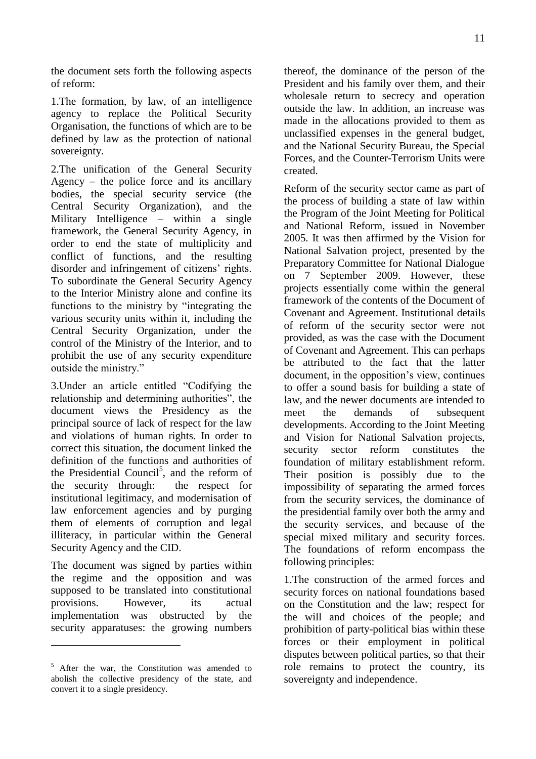the document sets forth the following aspects of reform:

1.The formation, by law, of an intelligence agency to replace the Political Security Organisation, the functions of which are to be defined by law as the protection of national sovereignty.

2.The unification of the General Security Agency – the police force and its ancillary bodies, the special security service (the Central Security Organization), and the Military Intelligence – within a single framework, the General Security Agency, in order to end the state of multiplicity and conflict of functions, and the resulting disorder and infringement of citizens' rights. To subordinate the General Security Agency to the Interior Ministry alone and confine its functions to the ministry by "integrating the various security units within it, including the Central Security Organization, under the control of the Ministry of the Interior, and to prohibit the use of any security expenditure outside the ministry."

3.Under an article entitled "Codifying the relationship and determining authorities", the document views the Presidency as the principal source of lack of respect for the law and violations of human rights. In order to correct this situation, the document linked the definition of the functions and authorities of the Presidential Council<sup>5</sup>, and the reform of the security through: the respect for institutional legitimacy, and modernisation of law enforcement agencies and by purging them of elements of corruption and legal illiteracy, in particular within the General Security Agency and the CID.

The document was signed by parties within the regime and the opposition and was supposed to be translated into constitutional provisions. However, its actual implementation was obstructed by the security apparatuses: the growing numbers

 $\overline{a}$ 

thereof, the dominance of the person of the President and his family over them, and their wholesale return to secrecy and operation outside the law. In addition, an increase was made in the allocations provided to them as unclassified expenses in the general budget, and the National Security Bureau, the Special Forces, and the Counter-Terrorism Units were created.

Reform of the security sector came as part of the process of building a state of law within the Program of the Joint Meeting for Political and National Reform, issued in November 2005. It was then affirmed by the Vision for National Salvation project, presented by the Preparatory Committee for National Dialogue on 7 September 2009. However, these projects essentially come within the general framework of the contents of the Document of Covenant and Agreement. Institutional details of reform of the security sector were not provided, as was the case with the Document of Covenant and Agreement. This can perhaps be attributed to the fact that the latter document, in the opposition's view, continues to offer a sound basis for building a state of law, and the newer documents are intended to meet the demands of subsequent developments. According to the Joint Meeting and Vision for National Salvation projects, security sector reform constitutes the foundation of military establishment reform. Their position is possibly due to the impossibility of separating the armed forces from the security services, the dominance of the presidential family over both the army and the security services, and because of the special mixed military and security forces. The foundations of reform encompass the following principles:

1.The construction of the armed forces and security forces on national foundations based on the Constitution and the law; respect for the will and choices of the people; and prohibition of party-political bias within these forces or their employment in political disputes between political parties, so that their role remains to protect the country, its sovereignty and independence.

 $5$  After the war, the Constitution was amended to abolish the collective presidency of the state, and convert it to a single presidency.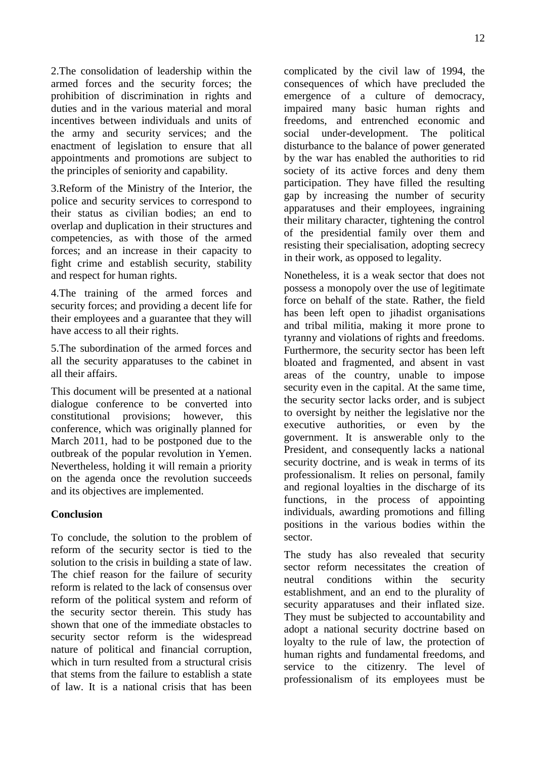2.The consolidation of leadership within the armed forces and the security forces; the prohibition of discrimination in rights and duties and in the various material and moral incentives between individuals and units of the army and security services; and the enactment of legislation to ensure that all appointments and promotions are subject to the principles of seniority and capability.

3.Reform of the Ministry of the Interior, the police and security services to correspond to their status as civilian bodies; an end to overlap and duplication in their structures and competencies, as with those of the armed forces; and an increase in their capacity to fight crime and establish security, stability and respect for human rights.

4.The training of the armed forces and security forces; and providing a decent life for their employees and a guarantee that they will have access to all their rights.

5.The subordination of the armed forces and all the security apparatuses to the cabinet in all their affairs.

This document will be presented at a national dialogue conference to be converted into constitutional provisions; however, this conference, which was originally planned for March 2011, had to be postponed due to the outbreak of the popular revolution in Yemen. Nevertheless, holding it will remain a priority on the agenda once the revolution succeeds and its objectives are implemented.

#### **Conclusion**

To conclude, the solution to the problem of reform of the security sector is tied to the solution to the crisis in building a state of law. The chief reason for the failure of security reform is related to the lack of consensus over reform of the political system and reform of the security sector therein. This study has shown that one of the immediate obstacles to security sector reform is the widespread nature of political and financial corruption, which in turn resulted from a structural crisis that stems from the failure to establish a state of law. It is a national crisis that has been

complicated by the civil law of 1994, the consequences of which have precluded the emergence of a culture of democracy, impaired many basic human rights and freedoms, and entrenched economic and social under-development. The political disturbance to the balance of power generated by the war has enabled the authorities to rid society of its active forces and deny them participation. They have filled the resulting gap by increasing the number of security apparatuses and their employees, ingraining their military character, tightening the control of the presidential family over them and resisting their specialisation, adopting secrecy in their work, as opposed to legality.

Nonetheless, it is a weak sector that does not possess a monopoly over the use of legitimate force on behalf of the state. Rather, the field has been left open to jihadist organisations and tribal militia, making it more prone to tyranny and violations of rights and freedoms. Furthermore, the security sector has been left bloated and fragmented, and absent in vast areas of the country, unable to impose security even in the capital. At the same time, the security sector lacks order, and is subject to oversight by neither the legislative nor the executive authorities, or even by the government. It is answerable only to the President, and consequently lacks a national security doctrine, and is weak in terms of its professionalism. It relies on personal, family and regional loyalties in the discharge of its functions, in the process of appointing individuals, awarding promotions and filling positions in the various bodies within the sector.

The study has also revealed that security sector reform necessitates the creation of neutral conditions within the security establishment, and an end to the plurality of security apparatuses and their inflated size. They must be subjected to accountability and adopt a national security doctrine based on loyalty to the rule of law, the protection of human rights and fundamental freedoms, and service to the citizenry. The level of professionalism of its employees must be